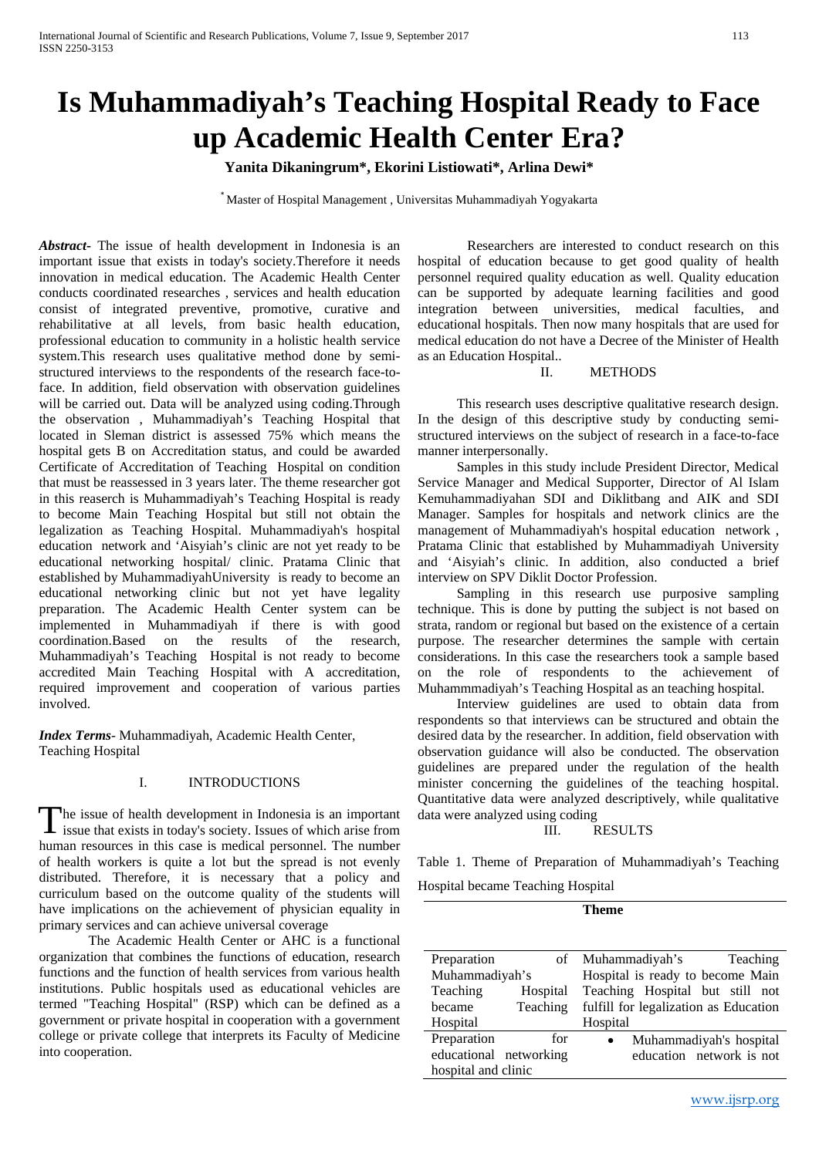# **Is Muhammadiyah's Teaching Hospital Ready to Face up Academic Health Center Era?**

**Yanita Dikaningrum\*, Ekorini Listiowati\*, Arlina Dewi\***

\* Master of Hospital Management , Universitas Muhammadiyah Yogyakarta

*Abstract***-** The issue of health development in Indonesia is an important issue that exists in today's society.Therefore it needs innovation in medical education. The Academic Health Center conducts coordinated researches , services and health education consist of integrated preventive, promotive, curative and rehabilitative at all levels, from basic health education, professional education to community in a holistic health service system.This research uses qualitative method done by semistructured interviews to the respondents of the research face-toface. In addition, field observation with observation guidelines will be carried out. Data will be analyzed using coding.Through the observation , Muhammadiyah's Teaching Hospital that located in Sleman district is assessed 75% which means the hospital gets B on Accreditation status, and could be awarded Certificate of Accreditation of Teaching Hospital on condition that must be reassessed in 3 years later. The theme researcher got in this reaserch is Muhammadiyah's Teaching Hospital is ready to become Main Teaching Hospital but still not obtain the legalization as Teaching Hospital. Muhammadiyah's hospital education network and 'Aisyiah's clinic are not yet ready to be educational networking hospital/ clinic. Pratama Clinic that established by MuhammadiyahUniversity is ready to become an educational networking clinic but not yet have legality preparation. The Academic Health Center system can be implemented in Muhammadiyah if there is with good coordination.Based on the results of the research, Muhammadiyah's Teaching Hospital is not ready to become accredited Main Teaching Hospital with A accreditation, required improvement and cooperation of various parties involved.

*Index Terms*- Muhammadiyah, Academic Health Center, Teaching Hospital

## I. INTRODUCTIONS

he issue of health development in Indonesia is an important The issue of health development in Indonesia is an important<br>issue that exists in today's society. Issues of which arise from human resources in this case is medical personnel. The number of health workers is quite a lot but the spread is not evenly distributed. Therefore, it is necessary that a policy and curriculum based on the outcome quality of the students will have implications on the achievement of physician equality in primary services and can achieve universal coverage

The Academic Health Center or AHC is a functional organization that combines the functions of education, research functions and the function of health services from various health institutions. Public hospitals used as educational vehicles are termed "Teaching Hospital" (RSP) which can be defined as a government or private hospital in cooperation with a government college or private college that interprets its Faculty of Medicine into cooperation.

Researchers are interested to conduct research on this hospital of education because to get good quality of health personnel required quality education as well. Quality education can be supported by adequate learning facilities and good integration between universities, medical faculties, and educational hospitals. Then now many hospitals that are used for medical education do not have a Decree of the Minister of Health as an Education Hospital..

### II. METHODS

This research uses descriptive qualitative research design. In the design of this descriptive study by conducting semistructured interviews on the subject of research in a face-to-face manner interpersonally.

Samples in this study include President Director, Medical Service Manager and Medical Supporter, Director of Al Islam Kemuhammadiyahan SDI and Diklitbang and AIK and SDI Manager. Samples for hospitals and network clinics are the management of Muhammadiyah's hospital education network , Pratama Clinic that established by Muhammadiyah University and 'Aisyiah's clinic. In addition, also conducted a brief interview on SPV Diklit Doctor Profession.

Sampling in this research use purposive sampling technique. This is done by putting the subject is not based on strata, random or regional but based on the existence of a certain purpose. The researcher determines the sample with certain considerations. In this case the researchers took a sample based on the role of respondents to the achievement of Muhammmadiyah's Teaching Hospital as an teaching hospital.

Interview guidelines are used to obtain data from respondents so that interviews can be structured and obtain the desired data by the researcher. In addition, field observation with observation guidance will also be conducted. The observation guidelines are prepared under the regulation of the health minister concerning the guidelines of the teaching hospital. Quantitative data were analyzed descriptively, while qualitative data were analyzed using coding

## III. RESULTS

Table 1. Theme of Preparation of Muhammadiyah's Teaching

Hospital became Teaching Hospital

| m<br>т. |
|---------|
|---------|

| Preparation            |          | Teaching<br>of Muhammadiyah's         |  |
|------------------------|----------|---------------------------------------|--|
| Muhammadiyah's         |          | Hospital is ready to become Main      |  |
| Teaching               | Hospital | Teaching Hospital but still not       |  |
| became                 | Teaching | fulfill for legalization as Education |  |
| Hospital               |          | Hospital                              |  |
| Preparation            | for      | Muhammadiyah's hospital<br>$\bullet$  |  |
| educational networking |          | education network is not              |  |
| hospital and clinic    |          |                                       |  |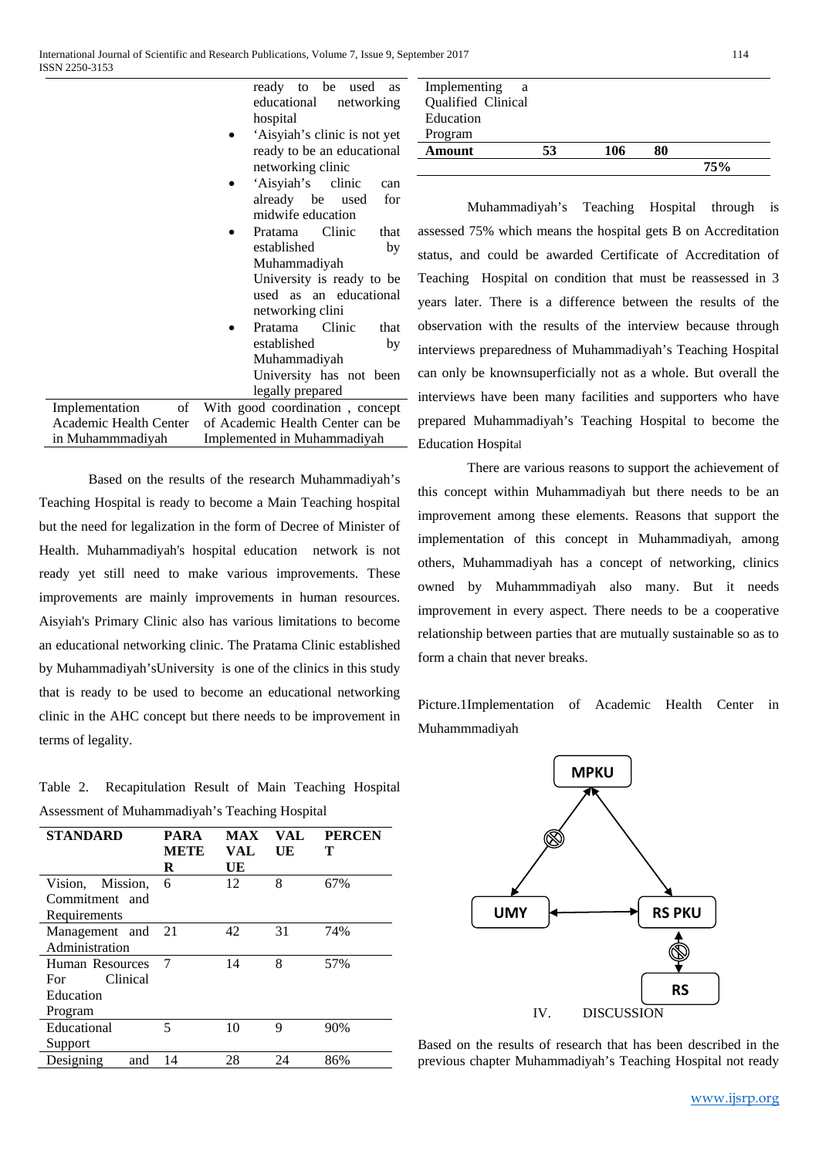ready to be used as educational networking hospital

- 'Aisyiah's clinic is not yet ready to be an educational networking clinic
- 'Aisyiah's clinic can already be used for midwife education
- Pratama Clinic that established by Muhammadiyah University is ready to be used as an educational networking clini
- Pratama Clinic that established by Muhammadiyah University has not been legally prepared

Implementation of Academic Health Center in Muhammmadiyah With good coordination , concept of Academic Health Center can be Implemented in Muhammadiyah

Based on the results of the research Muhammadiyah's Teaching Hospital is ready to become a Main Teaching hospital but the need for legalization in the form of Decree of Minister of Health. Muhammadiyah's hospital education network is not ready yet still need to make various improvements. These improvements are mainly improvements in human resources. Aisyiah's Primary Clinic also has various limitations to become an educational networking clinic. The Pratama Clinic established by Muhammadiyah'sUniversity is one of the clinics in this study that is ready to be used to become an educational networking clinic in the AHC concept but there needs to be improvement in terms of legality.

Table 2. Recapitulation Result of Main Teaching Hospital Assessment of Muhammadiyah's Teaching Hospital

| <b>STANDARD</b>                    | <b>PARA</b><br><b>METE</b><br>R | <b>MAX</b><br>VAL<br>UE | VAL.<br>UE | <b>PERCEN</b><br>т |
|------------------------------------|---------------------------------|-------------------------|------------|--------------------|
| Vision, Mission,<br>Commitment and | 6                               | 12                      | 8          | 67%                |
| Requirements                       |                                 |                         |            |                    |
| Management and                     | 21                              | 42                      | 31         | 74%                |
| Administration                     |                                 |                         |            |                    |
| Human Resources                    | 7                               | 14                      | 8          | 57%                |
| Clinical<br>For                    |                                 |                         |            |                    |
| Education                          |                                 |                         |            |                    |
| Program                            |                                 |                         |            |                    |
| Educational                        | 5                               | 10                      | 9          | 90%                |
| Support                            |                                 |                         |            |                    |
| Designing<br>and                   | 14                              | 28                      | 24         | 86%                |

| Implementing<br>Qualified Clinical<br>Education | a  |     |     |
|-------------------------------------------------|----|-----|-----|
| Program                                         |    |     |     |
| Amount                                          | 53 | 106 |     |
|                                                 |    |     | 75% |

Muhammadiyah's Teaching Hospital through is assessed 75% which means the hospital gets B on Accreditation status, and could be awarded Certificate of Accreditation of Teaching Hospital on condition that must be reassessed in 3 years later. There is a difference between the results of the observation with the results of the interview because through interviews preparedness of Muhammadiyah's Teaching Hospital can only be knownsuperficially not as a whole. But overall the interviews have been many facilities and supporters who have prepared Muhammadiyah's Teaching Hospital to become the Education Hospital

There are various reasons to support the achievement of this concept within Muhammadiyah but there needs to be an improvement among these elements. Reasons that support the implementation of this concept in Muhammadiyah, among others, Muhammadiyah has a concept of networking, clinics owned by Muhammmadiyah also many. But it needs improvement in every aspect. There needs to be a cooperative relationship between parties that are mutually sustainable so as to form a chain that never breaks.

Picture.1Implementation of Academic Health Center in Muhammmadiyah



Based on the results of research that has been described in the previous chapter Muhammadiyah's Teaching Hospital not ready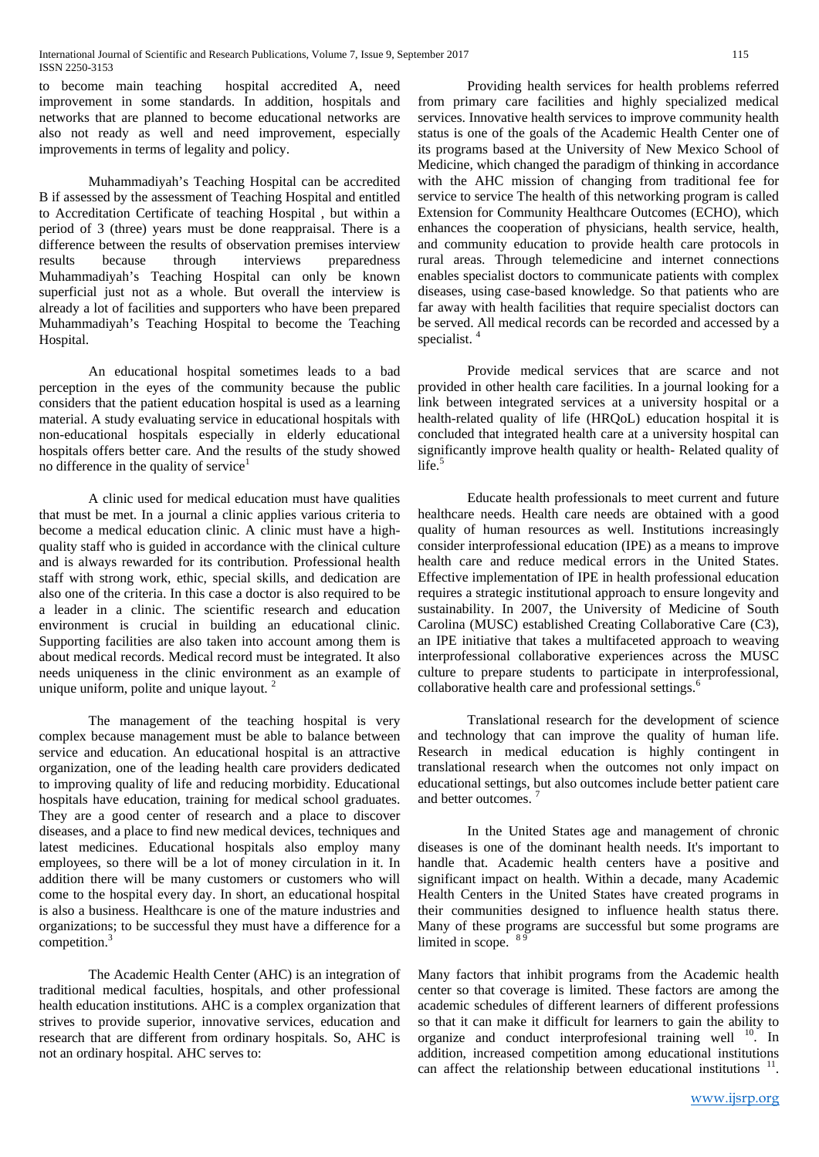to become main teaching hospital accredited A, need improvement in some standards. In addition, hospitals and networks that are planned to become educational networks are also not ready as well and need improvement, especially improvements in terms of legality and policy.

Muhammadiyah's Teaching Hospital can be accredited B if assessed by the assessment of Teaching Hospital and entitled to Accreditation Certificate of teaching Hospital , but within a period of 3 (three) years must be done reappraisal. There is a difference between the results of observation premises interview results because through interviews preparedness Muhammadiyah's Teaching Hospital can only be known superficial just not as a whole. But overall the interview is already a lot of facilities and supporters who have been prepared Muhammadiyah's Teaching Hospital to become the Teaching Hospital.

An educational hospital sometimes leads to a bad perception in the eyes of the community because the public considers that the patient education hospital is used as a learning material. A study evaluating service in educational hospitals with non-educational hospitals especially in elderly educational hospitals offers better care. And the results of the study showed no difference in the quality of service<sup>1</sup>

A clinic used for medical education must have qualities that must be met. In a journal a clinic applies various criteria to become a medical education clinic. A clinic must have a highquality staff who is guided in accordance with the clinical culture and is always rewarded for its contribution. Professional health staff with strong work, ethic, special skills, and dedication are also one of the criteria. In this case a doctor is also required to be a leader in a clinic. The scientific research and education environment is crucial in building an educational clinic. Supporting facilities are also taken into account among them is about medical records. Medical record must be integrated. It also needs uniqueness in the clinic environment as an example of unique uniform, polite and unique layout.<sup>2</sup>

The management of the teaching hospital is very complex because management must be able to balance between service and education. An educational hospital is an attractive organization, one of the leading health care providers dedicated to improving quality of life and reducing morbidity. Educational hospitals have education, training for medical school graduates. They are a good center of research and a place to discover diseases, and a place to find new medical devices, techniques and latest medicines. Educational hospitals also employ many employees, so there will be a lot of money circulation in it. In addition there will be many customers or customers who will come to the hospital every day. In short, an educational hospital is also a business. Healthcare is one of the mature industries and organizations; to be successful they must have a difference for a competition.<sup>3</sup>

The Academic Health Center (AHC) is an integration of traditional medical faculties, hospitals, and other professional health education institutions. AHC is a complex organization that strives to provide superior, innovative services, education and research that are different from ordinary hospitals. So, AHC is not an ordinary hospital. AHC serves to:

Providing health services for health problems referred from primary care facilities and highly specialized medical services. Innovative health services to improve community health status is one of the goals of the Academic Health Center one of its programs based at the University of New Mexico School of Medicine, which changed the paradigm of thinking in accordance with the AHC mission of changing from traditional fee for service to service The health of this networking program is called Extension for Community Healthcare Outcomes (ECHO), which enhances the cooperation of physicians, health service, health, and community education to provide health care protocols in rural areas. Through telemedicine and internet connections enables specialist doctors to communicate patients with complex diseases, using case-based knowledge. So that patients who are far away with health facilities that require specialist doctors can be served. All medical records can be recorded and accessed by a specialist.<sup>4</sup>

Provide medical services that are scarce and not provided in other health care facilities. In a journal looking for a link between integrated services at a university hospital or a health-related quality of life (HRQoL) education hospital it is concluded that integrated health care at a university hospital can significantly improve health quality or health- Related quality of  $life.<sup>5</sup>$ 

Educate health professionals to meet current and future healthcare needs. Health care needs are obtained with a good quality of human resources as well. Institutions increasingly consider interprofessional education (IPE) as a means to improve health care and reduce medical errors in the United States. Effective implementation of IPE in health professional education requires a strategic institutional approach to ensure longevity and sustainability. In 2007, the University of Medicine of South Carolina (MUSC) established Creating Collaborative Care (C3), an IPE initiative that takes a multifaceted approach to weaving interprofessional collaborative experiences across the MUSC culture to prepare students to participate in interprofessional, collaborative health care and professional settings.<sup>6</sup>

Translational research for the development of science and technology that can improve the quality of human life. Research in medical education is highly contingent in translational research when the outcomes not only impact on educational settings, but also outcomes include better patient care and better outcomes.

In the United States age and management of chronic diseases is one of the dominant health needs. It's important to handle that. Academic health centers have a positive and significant impact on health. Within a decade, many Academic Health Centers in the United States have created programs in their communities designed to influence health status there. Many of these programs are successful but some programs are limited in scope.  $8\frac{9}{9}$ 

Many factors that inhibit programs from the Academic health center so that coverage is limited. These factors are among the academic schedules of different learners of different professions so that it can make it difficult for learners to gain the ability to organize and conduct interprofesional training well <sup>10</sup>. In addition, increased competition among educational institutions can affect the relationship between educational institutions  $11$ .